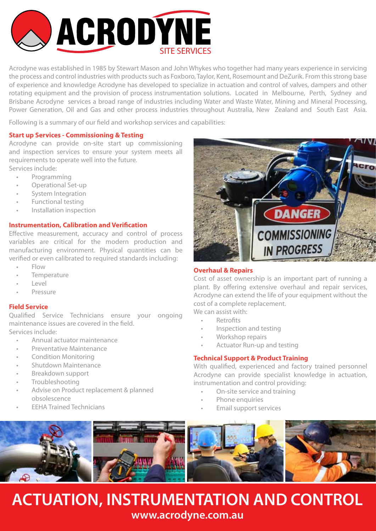

Acrodyne was established in 1985 by Stewart Mason and John Whykes who together had many years experience in servicing the process and control industries with products such as Foxboro, Taylor, Kent, Rosemount and DeZurik. From this strong base of experience and knowledge Acrodyne has developed to specialize in actuation and control of valves, dampers and other rotating equipment and the provision of process instrumentation solutions. Located in Melbourne, Perth, Sydney and Brisbane Acrodyne services a broad range of industries including Water and Waste Water, Mining and Mineral Processing, Power Generation, Oil and Gas and other process industries throughout Australia, New Zealand and South East Asia.

Following is a summary of our field and workshop services and capabilities:

#### **Start up Services - Commissioning & Testing**

Acrodyne can provide on-site start up commissioning and inspection services to ensure your system meets all requirements to operate well into the future. Services include:

- Programming
- Operational Set-up
- System Integration
- Functional testing
- Installation inspection

#### **Instrumentation, Calibration and Verification**

Effective measurement, accuracy and control of process variables are critical for the modern production and manufacturing environment. Physical quantities can be verified or even calibrated to required standards including:

- Flow
- **Temperature**
- Level
- **Pressure**

### **Field Service**

Qualified Service Technicians ensure your ongoing maintenance issues are covered in the field. Services include:

- Annual actuator maintenance
- Preventative Maintenance
- Condition Monitoring
- Shutdown Maintenance
- Breakdown support
- **Troubleshooting**
- Advise on Product replacement & planned obsolescence
- EEHA Trained Technicians



## **Overhaul & Repairs**

Cost of asset ownership is an important part of running a plant. By offering extensive overhaul and repair services, Acrodyne can extend the life of your equipment without the cost of a complete replacement.

- We can assist with:
	- **Retrofits**
	- Inspection and testing
	- Workshop repairs
	- Actuator Run-up and testing

## **Technical Support & Product Training**

With qualified, experienced and factory trained personnel Acrodyne can provide specialist knowledge in actuation, instrumentation and control providing:

- On-site service and training
- Phone enquiries
- Email support services



## **ACTUATION, INSTRUMENTATION AND CONTROL www.acrodyne.com.au**